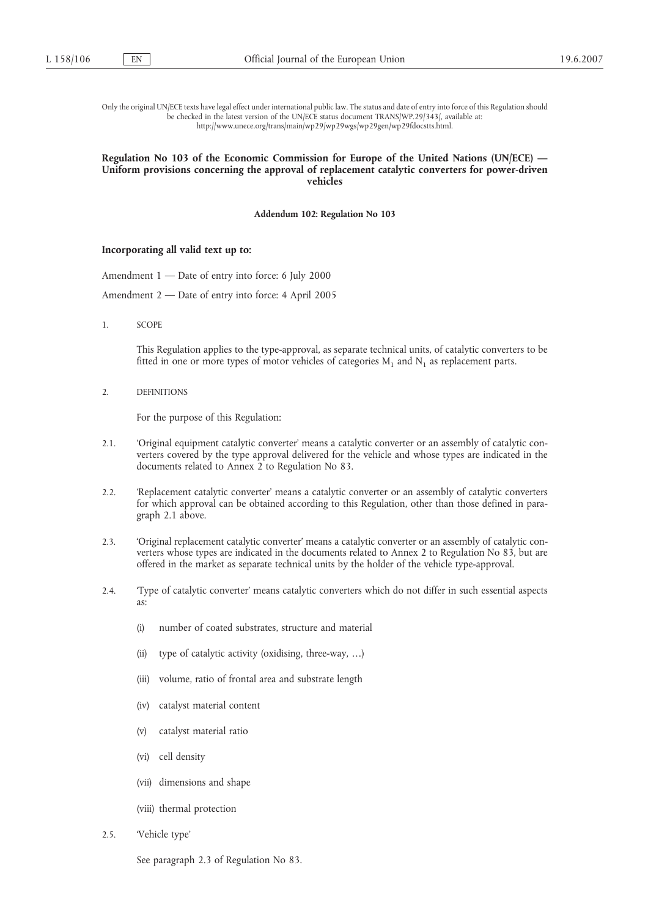Only the original UN/ECE texts have legal effect under international public law. The status and date of entry into force of this Regulation should be checked in the latest version of the UN/ECE status document TRANS/WP.29/343/, available at: http://www.unece.org/trans/main/wp29/wp29wgs/wp29gen/wp29fdocstts.html.

## **Regulation No 103 of the Economic Commission for Europe of the United Nations (UN/ECE) — Uniform provisions concerning the approval of replacement catalytic converters for power-driven vehicles**

**Addendum 102: Regulation No 103**

## **Incorporating all valid text up to:**

- Amendment 1 Date of entry into force: 6 July 2000
- Amendment 2 Date of entry into force: 4 April 2005
- 1. SCOPE

This Regulation applies to the type-approval, as separate technical units, of catalytic converters to be fitted in one or more types of motor vehicles of categories  $M_1$  and  $N_1$  as replacement parts.

2. DEFINITIONS

For the purpose of this Regulation:

- 2.1. 'Original equipment catalytic converter' means a catalytic converter or an assembly of catalytic converters covered by the type approval delivered for the vehicle and whose types are indicated in the documents related to Annex 2 to Regulation No 83.
- 2.2. 'Replacement catalytic converter' means a catalytic converter or an assembly of catalytic converters for which approval can be obtained according to this Regulation, other than those defined in paragraph 2.1 above.
- 2.3. 'Original replacement catalytic converter' means a catalytic converter or an assembly of catalytic converters whose types are indicated in the documents related to Annex 2 to Regulation No 83, but are offered in the market as separate technical units by the holder of the vehicle type-approval.
- 2.4. 'Type of catalytic converter' means catalytic converters which do not differ in such essential aspects as:
	- (i) number of coated substrates, structure and material
	- (ii) type of catalytic activity (oxidising, three-way, …)
	- (iii) volume, ratio of frontal area and substrate length
	- (iv) catalyst material content
	- (v) catalyst material ratio
	- (vi) cell density
	- (vii) dimensions and shape
	- (viii) thermal protection
- 2.5. 'Vehicle type'

See paragraph 2.3 of Regulation No 83.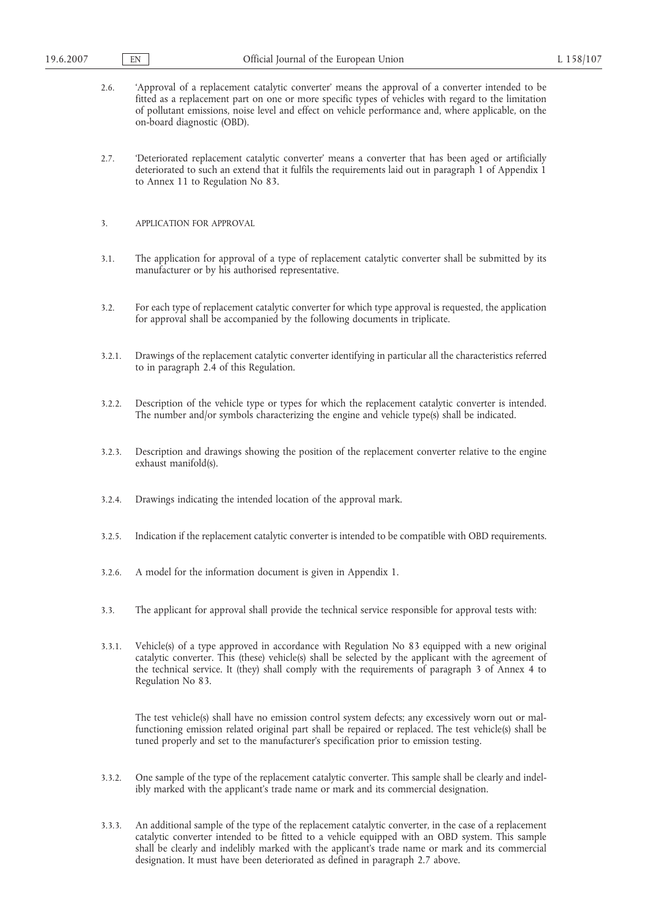- 2.6. 'Approval of a replacement catalytic converter' means the approval of a converter intended to be fitted as a replacement part on one or more specific types of vehicles with regard to the limitation of pollutant emissions, noise level and effect on vehicle performance and, where applicable, on the on-board diagnostic (OBD).
- 2.7. 'Deteriorated replacement catalytic converter' means a converter that has been aged or artificially deteriorated to such an extend that it fulfils the requirements laid out in paragraph 1 of Appendix 1 to Annex 11 to Regulation No 83.
- 3. APPLICATION FOR APPROVAL
- 3.1. The application for approval of a type of replacement catalytic converter shall be submitted by its manufacturer or by his authorised representative.
- 3.2. For each type of replacement catalytic converter for which type approval is requested, the application for approval shall be accompanied by the following documents in triplicate.
- 3.2.1. Drawings of the replacement catalytic converter identifying in particular all the characteristics referred to in paragraph 2.4 of this Regulation.
- 3.2.2. Description of the vehicle type or types for which the replacement catalytic converter is intended. The number and/or symbols characterizing the engine and vehicle type(s) shall be indicated.
- 3.2.3. Description and drawings showing the position of the replacement converter relative to the engine exhaust manifold(s).
- 3.2.4. Drawings indicating the intended location of the approval mark.
- 3.2.5. Indication if the replacement catalytic converter is intended to be compatible with OBD requirements.
- 3.2.6. A model for the information document is given in Appendix 1.
- 3.3. The applicant for approval shall provide the technical service responsible for approval tests with:
- 3.3.1. Vehicle(s) of a type approved in accordance with Regulation No 83 equipped with a new original catalytic converter. This (these) vehicle(s) shall be selected by the applicant with the agreement of the technical service. It (they) shall comply with the requirements of paragraph 3 of Annex 4 to Regulation No 83.

The test vehicle(s) shall have no emission control system defects; any excessively worn out or malfunctioning emission related original part shall be repaired or replaced. The test vehicle(s) shall be tuned properly and set to the manufacturer's specification prior to emission testing.

- 3.3.2. One sample of the type of the replacement catalytic converter. This sample shall be clearly and indelibly marked with the applicant's trade name or mark and its commercial designation.
- 3.3.3. An additional sample of the type of the replacement catalytic converter, in the case of a replacement catalytic converter intended to be fitted to a vehicle equipped with an OBD system. This sample shall be clearly and indelibly marked with the applicant's trade name or mark and its commercial designation. It must have been deteriorated as defined in paragraph 2.7 above.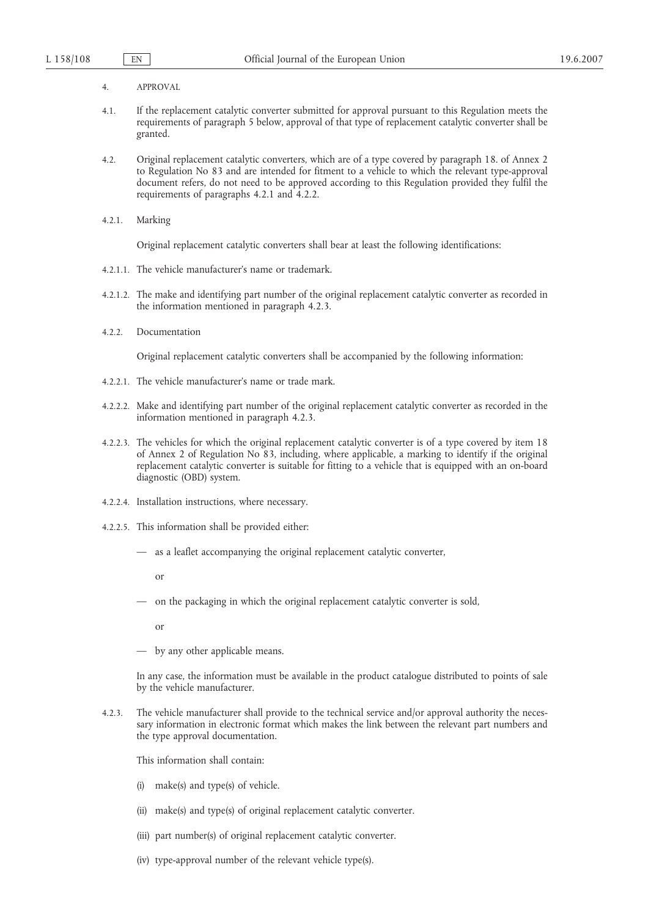- 4. APPROVAL
- 4.1. If the replacement catalytic converter submitted for approval pursuant to this Regulation meets the requirements of paragraph 5 below, approval of that type of replacement catalytic converter shall be granted.
- 4.2. Original replacement catalytic converters, which are of a type covered by paragraph 18. of Annex 2 to Regulation No 83 and are intended for fitment to a vehicle to which the relevant type-approval document refers, do not need to be approved according to this Regulation provided they fulfil the requirements of paragraphs 4.2.1 and 4.2.2.
- 4.2.1. Marking

Original replacement catalytic converters shall bear at least the following identifications:

- 4.2.1.1. The vehicle manufacturer's name or trademark.
- 4.2.1.2. The make and identifying part number of the original replacement catalytic converter as recorded in the information mentioned in paragraph 4.2.3.
- 4.2.2. Documentation

Original replacement catalytic converters shall be accompanied by the following information:

- 4.2.2.1. The vehicle manufacturer's name or trade mark.
- 4.2.2.2. Make and identifying part number of the original replacement catalytic converter as recorded in the information mentioned in paragraph 4.2.3.
- 4.2.2.3. The vehicles for which the original replacement catalytic converter is of a type covered by item 18 of Annex 2 of Regulation No 83, including, where applicable, a marking to identify if the original replacement catalytic converter is suitable for fitting to a vehicle that is equipped with an on-board diagnostic (OBD) system.
- 4.2.2.4. Installation instructions, where necessary.
- 4.2.2.5. This information shall be provided either:
	- as a leaflet accompanying the original replacement catalytic converter,

or

— on the packaging in which the original replacement catalytic converter is sold,

or

— by any other applicable means.

In any case, the information must be available in the product catalogue distributed to points of sale by the vehicle manufacturer.

4.2.3. The vehicle manufacturer shall provide to the technical service and/or approval authority the necessary information in electronic format which makes the link between the relevant part numbers and the type approval documentation.

This information shall contain:

- (i) make(s) and type(s) of vehicle.
- (ii) make(s) and type(s) of original replacement catalytic converter.
- (iii) part number(s) of original replacement catalytic converter.
- (iv) type-approval number of the relevant vehicle type(s).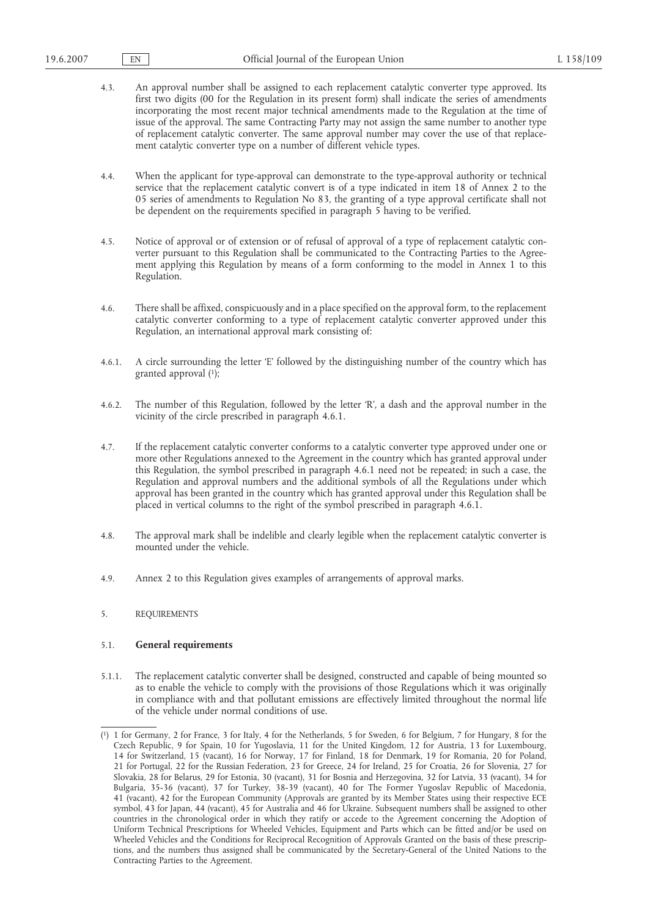- 4.3. An approval number shall be assigned to each replacement catalytic converter type approved. Its first two digits (00 for the Regulation in its present form) shall indicate the series of amendments incorporating the most recent major technical amendments made to the Regulation at the time of issue of the approval. The same Contracting Party may not assign the same number to another type of replacement catalytic converter. The same approval number may cover the use of that replacement catalytic converter type on a number of different vehicle types.
- 4.4. When the applicant for type-approval can demonstrate to the type-approval authority or technical service that the replacement catalytic convert is of a type indicated in item 18 of Annex 2 to the 05 series of amendments to Regulation No 83, the granting of a type approval certificate shall not be dependent on the requirements specified in paragraph 5 having to be verified.
- 4.5. Notice of approval or of extension or of refusal of approval of a type of replacement catalytic converter pursuant to this Regulation shall be communicated to the Contracting Parties to the Agreement applying this Regulation by means of a form conforming to the model in Annex 1 to this Regulation.
- 4.6. There shall be affixed, conspicuously and in a place specified on the approval form, to the replacement catalytic converter conforming to a type of replacement catalytic converter approved under this Regulation, an international approval mark consisting of:
- 4.6.1. A circle surrounding the letter 'E' followed by the distinguishing number of the country which has granted approval (1);
- 4.6.2. The number of this Regulation, followed by the letter 'R', a dash and the approval number in the vicinity of the circle prescribed in paragraph 4.6.1.
- 4.7. If the replacement catalytic converter conforms to a catalytic converter type approved under one or more other Regulations annexed to the Agreement in the country which has granted approval under this Regulation, the symbol prescribed in paragraph 4.6.1 need not be repeated; in such a case, the Regulation and approval numbers and the additional symbols of all the Regulations under which approval has been granted in the country which has granted approval under this Regulation shall be placed in vertical columns to the right of the symbol prescribed in paragraph 4.6.1.
- 4.8. The approval mark shall be indelible and clearly legible when the replacement catalytic converter is mounted under the vehicle.
- 4.9. Annex 2 to this Regulation gives examples of arrangements of approval marks.

# 5. REQUIREMENTS

# 5.1. **General requirements**

5.1.1. The replacement catalytic converter shall be designed, constructed and capable of being mounted so as to enable the vehicle to comply with the provisions of those Regulations which it was originally in compliance with and that pollutant emissions are effectively limited throughout the normal life of the vehicle under normal conditions of use.

<sup>(</sup> 1) 1 for Germany, 2 for France, 3 for Italy, 4 for the Netherlands, 5 for Sweden, 6 for Belgium, 7 for Hungary, 8 for the Czech Republic, 9 for Spain, 10 for Yugoslavia, 11 for the United Kingdom, 12 for Austria, 13 for Luxembourg, 14 for Switzerland, 15 (vacant), 16 for Norway, 17 for Finland, 18 for Denmark, 19 for Romania, 20 for Poland, 21 for Portugal, 22 for the Russian Federation, 23 for Greece, 24 for Ireland, 25 for Croatia, 26 for Slovenia, 27 for Slovakia, 28 for Belarus, 29 for Estonia, 30 (vacant), 31 for Bosnia and Herzegovina, 32 for Latvia, 33 (vacant), 34 for Bulgaria, 35-36 (vacant), 37 for Turkey, 38-39 (vacant), 40 for The Former Yugoslav Republic of Macedonia, 41 (vacant), 42 for the European Community (Approvals are granted by its Member States using their respective ECE symbol, 43 for Japan, 44 (vacant), 45 for Australia and 46 for Ukraine. Subsequent numbers shall be assigned to other countries in the chronological order in which they ratify or accede to the Agreement concerning the Adoption of Uniform Technical Prescriptions for Wheeled Vehicles, Equipment and Parts which can be fitted and/or be used on Wheeled Vehicles and the Conditions for Reciprocal Recognition of Approvals Granted on the basis of these prescriptions, and the numbers thus assigned shall be communicated by the Secretary-General of the United Nations to the Contracting Parties to the Agreement.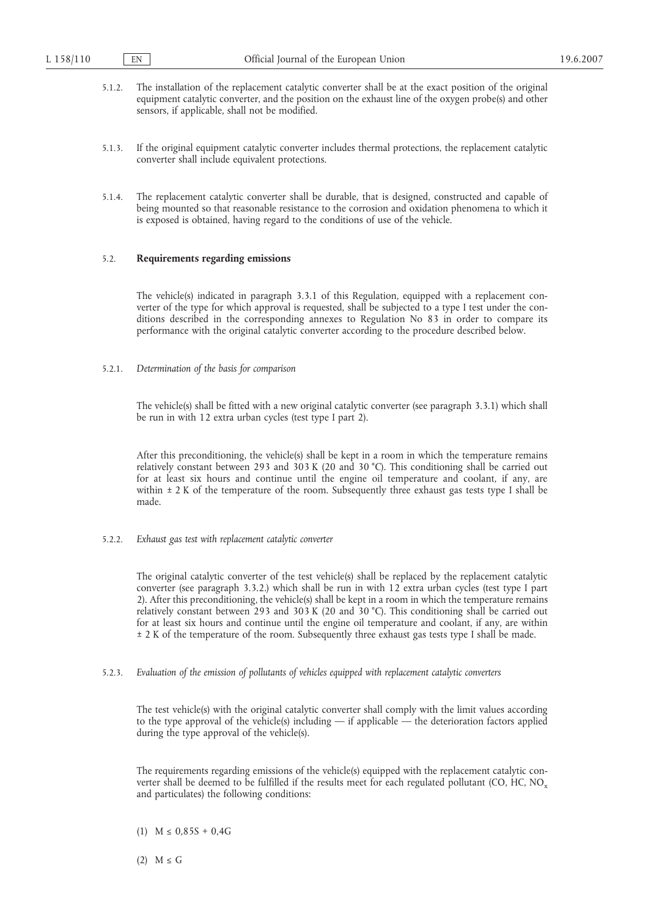- 5.1.2. The installation of the replacement catalytic converter shall be at the exact position of the original equipment catalytic converter, and the position on the exhaust line of the oxygen probe(s) and other sensors, if applicable, shall not be modified.
- 5.1.3. If the original equipment catalytic converter includes thermal protections, the replacement catalytic converter shall include equivalent protections.
- 5.1.4. The replacement catalytic converter shall be durable, that is designed, constructed and capable of being mounted so that reasonable resistance to the corrosion and oxidation phenomena to which it is exposed is obtained, having regard to the conditions of use of the vehicle.

## 5.2. **Requirements regarding emissions**

The vehicle(s) indicated in paragraph 3.3.1 of this Regulation, equipped with a replacement converter of the type for which approval is requested, shall be subjected to a type I test under the conditions described in the corresponding annexes to Regulation No 83 in order to compare its performance with the original catalytic converter according to the procedure described below.

5.2.1. *Determination of the basis for comparison*

The vehicle(s) shall be fitted with a new original catalytic converter (see paragraph 3.3.1) which shall be run in with 12 extra urban cycles (test type I part 2).

After this preconditioning, the vehicle(s) shall be kept in a room in which the temperature remains relatively constant between 293 and 303 K (20 and 30 °C). This conditioning shall be carried out for at least six hours and continue until the engine oil temperature and coolant, if any, are within  $\pm$  2 K of the temperature of the room. Subsequently three exhaust gas tests type I shall be made.

5.2.2. *Exhaust gas test with replacement catalytic converter*

The original catalytic converter of the test vehicle(s) shall be replaced by the replacement catalytic converter (see paragraph 3.3.2.) which shall be run in with 12 extra urban cycles (test type I part 2). After this preconditioning, the vehicle(s) shall be kept in a room in which the temperature remains relatively constant between 293 and 303 K (20 and 30 °C). This conditioning shall be carried out for at least six hours and continue until the engine oil temperature and coolant, if any, are within ± 2 K of the temperature of the room. Subsequently three exhaust gas tests type I shall be made.

5.2.3. *Evaluation of the emission of pollutants of vehicles equipped with replacement catalytic converters*

The test vehicle(s) with the original catalytic converter shall comply with the limit values according to the type approval of the vehicle(s) including — if applicable — the deterioration factors applied during the type approval of the vehicle(s).

The requirements regarding emissions of the vehicle(s) equipped with the replacement catalytic converter shall be deemed to be fulfilled if the results meet for each regulated pollutant (CO, HC, NO<sub>x</sub> and particulates) the following conditions:

- (1)  $M \le 0.85S + 0.4G$
- $(2)$  M  $\leq$  G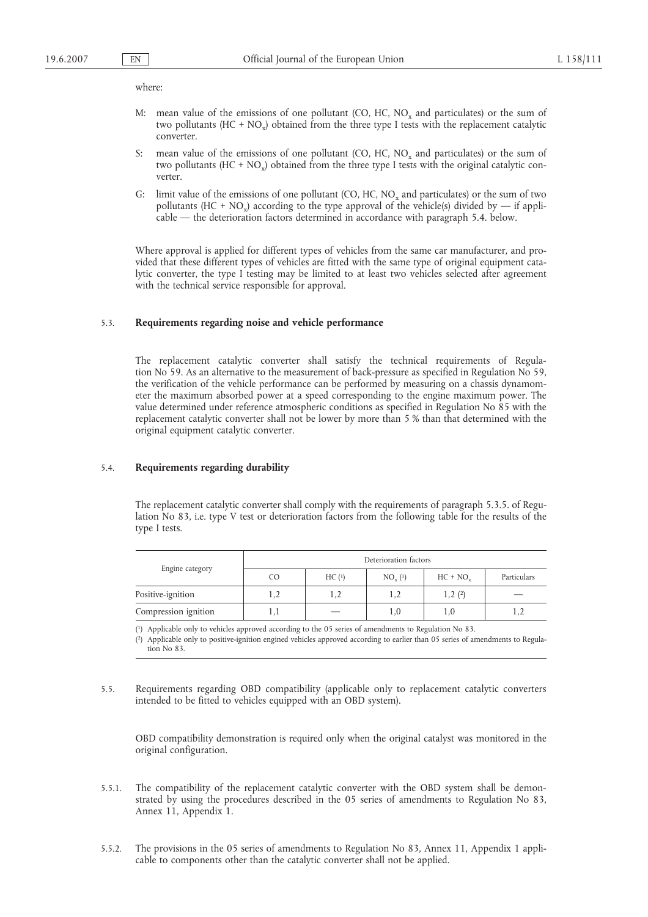## where:

- M: mean value of the emissions of one pollutant (CO, HC,  $NO<sub>x</sub>$  and particulates) or the sum of two pollutants (HC + NO<sub>x</sub>) obtained from the three type I tests with the replacement catalytic converter.
- S: mean value of the emissions of one pollutant  $(CO, HC, NO<sub>x</sub>$  and particulates) or the sum of two pollutants  $(HC + NO_x)$  obtained from the three type I tests with the original catalytic converter.
- G: limit value of the emissions of one pollutant  $(CO, HC, NO<sub>x</sub>$  and particulates) or the sum of two pollutants (HC + NO<sub>x</sub>) according to the type approval of the vehicle(s) divided by — if applicable — the deterioration factors determined in accordance with paragraph 5.4. below.

Where approval is applied for different types of vehicles from the same car manufacturer, and provided that these different types of vehicles are fitted with the same type of original equipment catalytic converter, the type I testing may be limited to at least two vehicles selected after agreement with the technical service responsible for approval.

## 5.3. **Requirements regarding noise and vehicle performance**

The replacement catalytic converter shall satisfy the technical requirements of Regulation No 59. As an alternative to the measurement of back-pressure as specified in Regulation No 59, the verification of the vehicle performance can be performed by measuring on a chassis dynamometer the maximum absorbed power at a speed corresponding to the engine maximum power. The value determined under reference atmospheric conditions as specified in Regulation No 85 with the replacement catalytic converter shall not be lower by more than 5 % than that determined with the original equipment catalytic converter.

### 5.4. **Requirements regarding durability**

The replacement catalytic converter shall comply with the requirements of paragraph 5.3.5. of Regulation No 83, i.e. type V test or deterioration factors from the following table for the results of the type I tests.

| Engine category      | Deterioration factors |       |                |            |             |  |
|----------------------|-----------------------|-------|----------------|------------|-------------|--|
|                      | CO.                   | HC(1) | $NO_{v}^{(1)}$ | $HC + NOv$ | Particulars |  |
| Positive-ignition    |                       | 1,2   |                | 1,2(2)     |             |  |
| Compression ignition | I, l                  |       | 1,0            | 1,0        |             |  |

( 1) Applicable only to vehicles approved according to the 05 series of amendments to Regulation No 83.

( 2) Applicable only to positive-ignition engined vehicles approved according to earlier than 05 series of amendments to Regulation No 83.

5.5. Requirements regarding OBD compatibility (applicable only to replacement catalytic converters intended to be fitted to vehicles equipped with an OBD system).

OBD compatibility demonstration is required only when the original catalyst was monitored in the original configuration.

- 5.5.1. The compatibility of the replacement catalytic converter with the OBD system shall be demonstrated by using the procedures described in the 05 series of amendments to Regulation No 83, Annex 11, Appendix 1.
- 5.5.2. The provisions in the 05 series of amendments to Regulation No 83, Annex 11, Appendix 1 applicable to components other than the catalytic converter shall not be applied.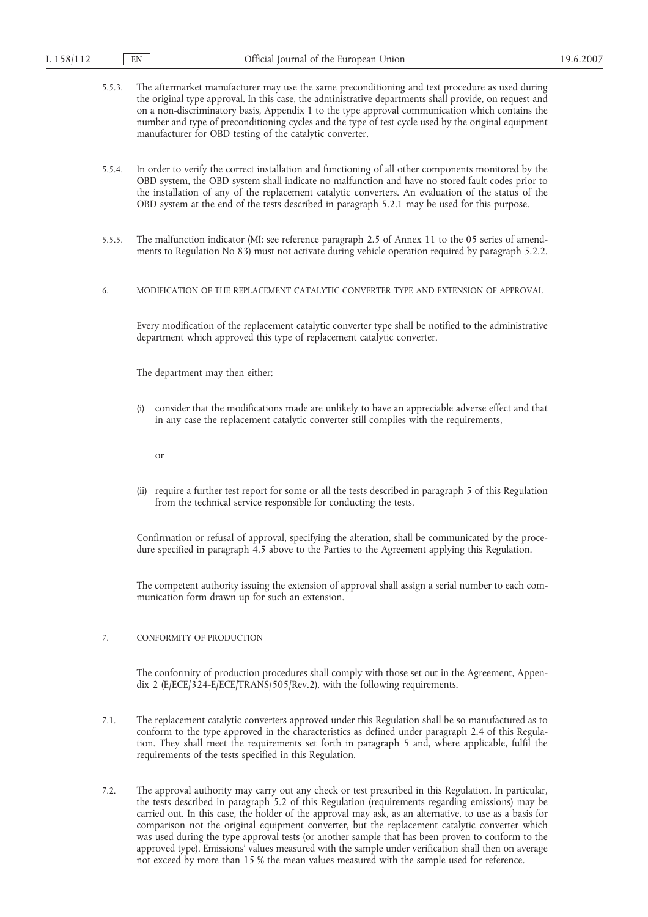| 5.5.3. | The aftermarket manufacturer may use the same preconditioning and test procedure as used during        |
|--------|--------------------------------------------------------------------------------------------------------|
|        | the original type approval. In this case, the administrative departments shall provide, on request and |
|        | on a non-discriminatory basis, Appendix 1 to the type approval communication which contains the        |
|        | number and type of preconditioning cycles and the type of test cycle used by the original equipment    |
|        | manufacturer for OBD testing of the catalytic converter.                                               |

- 5.5.4. In order to verify the correct installation and functioning of all other components monitored by the OBD system, the OBD system shall indicate no malfunction and have no stored fault codes prior to the installation of any of the replacement catalytic converters. An evaluation of the status of the OBD system at the end of the tests described in paragraph 5.2.1 may be used for this purpose.
- 5.5.5. The malfunction indicator (MI: see reference paragraph 2.5 of Annex 11 to the 05 series of amendments to Regulation No 83) must not activate during vehicle operation required by paragraph 5.2.2.
- 6. MODIFICATION OF THE REPLACEMENT CATALYTIC CONVERTER TYPE AND EXTENSION OF APPROVAL

Every modification of the replacement catalytic converter type shall be notified to the administrative department which approved this type of replacement catalytic converter.

The department may then either:

(i) consider that the modifications made are unlikely to have an appreciable adverse effect and that in any case the replacement catalytic converter still complies with the requirements,

or

(ii) require a further test report for some or all the tests described in paragraph 5 of this Regulation from the technical service responsible for conducting the tests.

Confirmation or refusal of approval, specifying the alteration, shall be communicated by the procedure specified in paragraph 4.5 above to the Parties to the Agreement applying this Regulation.

The competent authority issuing the extension of approval shall assign a serial number to each communication form drawn up for such an extension.

# 7. CONFORMITY OF PRODUCTION

The conformity of production procedures shall comply with those set out in the Agreement, Appendix 2 (E/ECE/324-E/ECE/TRANS/505/Rev.2), with the following requirements.

- 7.1. The replacement catalytic converters approved under this Regulation shall be so manufactured as to conform to the type approved in the characteristics as defined under paragraph 2.4 of this Regulation. They shall meet the requirements set forth in paragraph 5 and, where applicable, fulfil the requirements of the tests specified in this Regulation.
- 7.2. The approval authority may carry out any check or test prescribed in this Regulation. In particular, the tests described in paragraph 5.2 of this Regulation (requirements regarding emissions) may be carried out. In this case, the holder of the approval may ask, as an alternative, to use as a basis for comparison not the original equipment converter, but the replacement catalytic converter which was used during the type approval tests (or another sample that has been proven to conform to the approved type). Emissions' values measured with the sample under verification shall then on average not exceed by more than 15 % the mean values measured with the sample used for reference.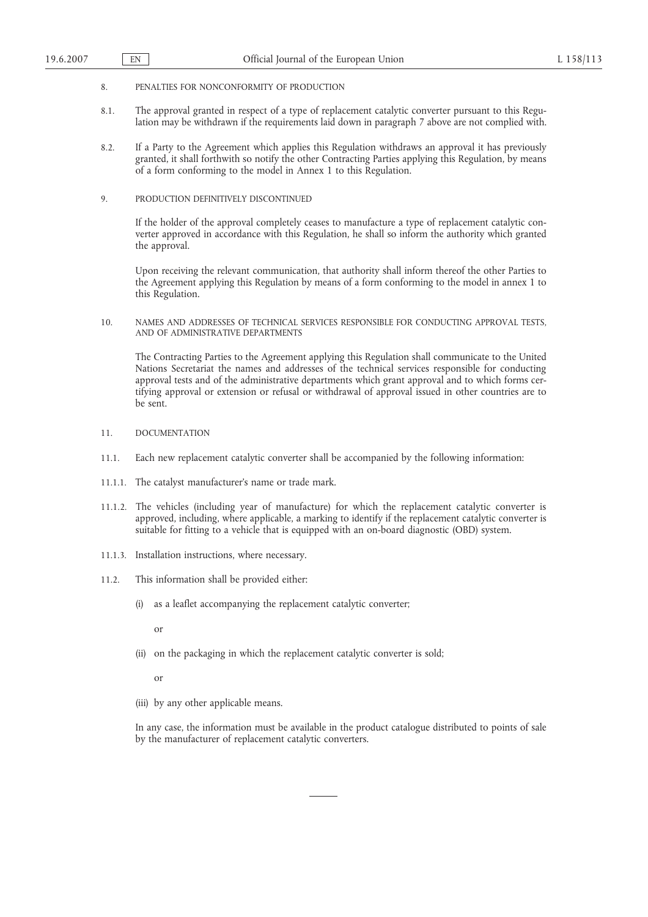- 8. PENALTIES FOR NONCONFORMITY OF PRODUCTION
- 8.1. The approval granted in respect of a type of replacement catalytic converter pursuant to this Regulation may be withdrawn if the requirements laid down in paragraph 7 above are not complied with.
- 8.2. If a Party to the Agreement which applies this Regulation withdraws an approval it has previously granted, it shall forthwith so notify the other Contracting Parties applying this Regulation, by means of a form conforming to the model in Annex 1 to this Regulation.
- 9. PRODUCTION DEFINITIVELY DISCONTINUED

If the holder of the approval completely ceases to manufacture a type of replacement catalytic converter approved in accordance with this Regulation, he shall so inform the authority which granted the approval.

Upon receiving the relevant communication, that authority shall inform thereof the other Parties to the Agreement applying this Regulation by means of a form conforming to the model in annex 1 to this Regulation.

10. NAMES AND ADDRESSES OF TECHNICAL SERVICES RESPONSIBLE FOR CONDUCTING APPROVAL TESTS, AND OF ADMINISTRATIVE DEPARTMENTS

The Contracting Parties to the Agreement applying this Regulation shall communicate to the United Nations Secretariat the names and addresses of the technical services responsible for conducting approval tests and of the administrative departments which grant approval and to which forms certifying approval or extension or refusal or withdrawal of approval issued in other countries are to be sent.

- 11. DOCUMENTATION
- 11.1. Each new replacement catalytic converter shall be accompanied by the following information:
- 11.1.1. The catalyst manufacturer's name or trade mark.
- 11.1.2. The vehicles (including year of manufacture) for which the replacement catalytic converter is approved, including, where applicable, a marking to identify if the replacement catalytic converter is suitable for fitting to a vehicle that is equipped with an on-board diagnostic (OBD) system.
- 11.1.3. Installation instructions, where necessary.
- 11.2. This information shall be provided either:
	- (i) as a leaflet accompanying the replacement catalytic converter;

or

(ii) on the packaging in which the replacement catalytic converter is sold;

or

(iii) by any other applicable means.

In any case, the information must be available in the product catalogue distributed to points of sale by the manufacturer of replacement catalytic converters.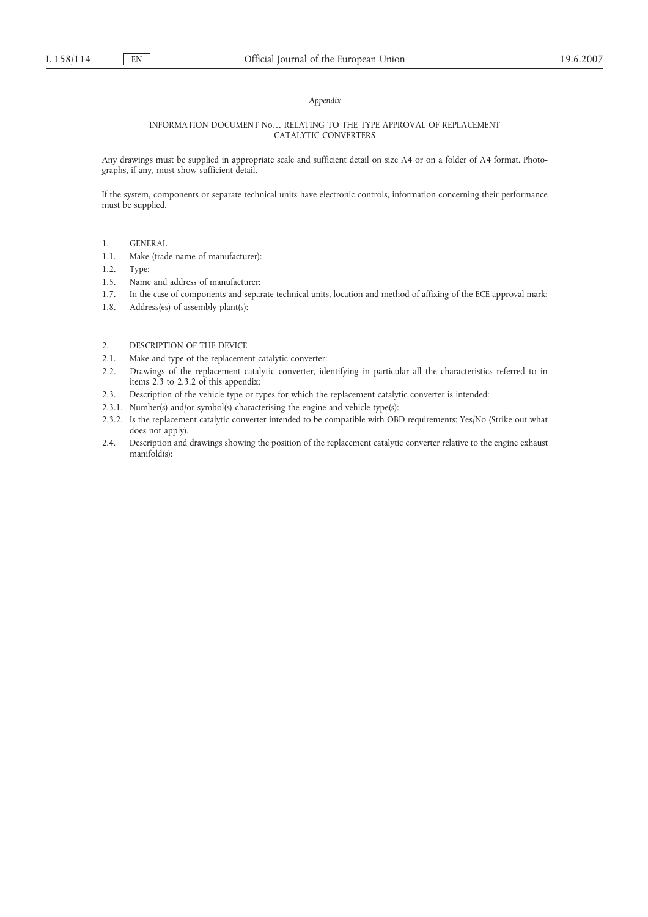## *Appendix*

### INFORMATION DOCUMENT No… RELATING TO THE TYPE APPROVAL OF REPLACEMENT CATALYTIC CONVERTERS

Any drawings must be supplied in appropriate scale and sufficient detail on size A4 or on a folder of A4 format. Photographs, if any, must show sufficient detail.

If the system, components or separate technical units have electronic controls, information concerning their performance must be supplied.

- 1. GENERAL
- 1.1. Make (trade name of manufacturer):
- 1.2. Type:
- 1.5. Name and address of manufacturer:
- 1.7. In the case of components and separate technical units, location and method of affixing of the ECE approval mark:
- 1.8. Address(es) of assembly plant(s):
- 2. DESCRIPTION OF THE DEVICE
- 2.1. Make and type of the replacement catalytic converter:
- 2.2. Drawings of the replacement catalytic converter, identifying in particular all the characteristics referred to in items 2.3 to 2.3.2 of this appendix:
- 2.3. Description of the vehicle type or types for which the replacement catalytic converter is intended:
- 2.3.1. Number(s) and/or symbol(s) characterising the engine and vehicle type(s):
- 2.3.2. Is the replacement catalytic converter intended to be compatible with OBD requirements: Yes/No (Strike out what does not apply).
- 2.4. Description and drawings showing the position of the replacement catalytic converter relative to the engine exhaust manifold(s):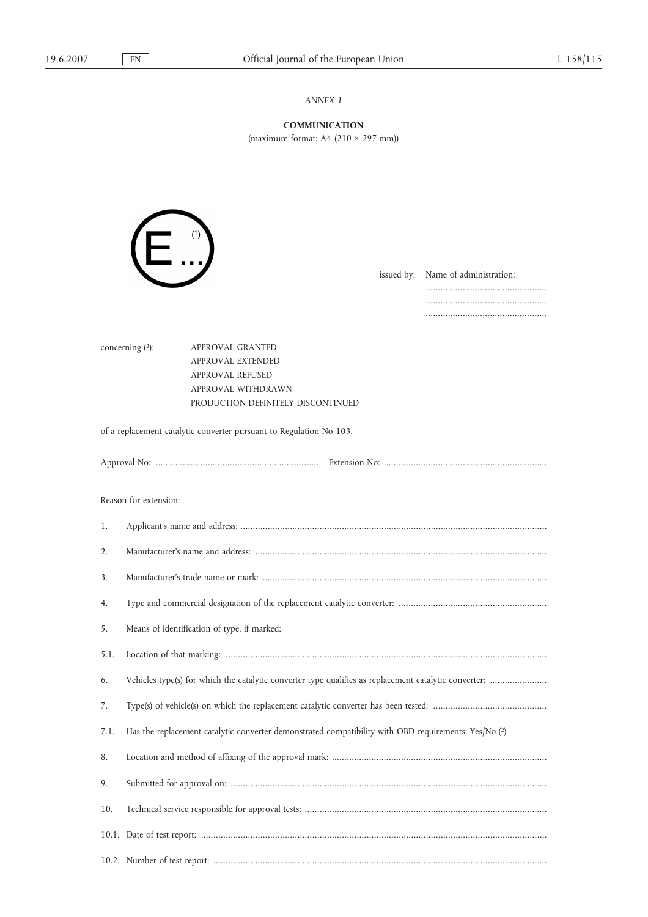# *ANNEX 1*

**COMMUNICATION** (maximum format: A4 (210 × 297 mm))

| п              | (1) |
|----------------|-----|
| $\blacksquare$ | п   |

issued by: Name of administration:

................................................. ................................................. .................................................

concerning (2): APPROVAL GRANTED APPROVAL EXTENDED

APPROVAL REFUSED APPROVAL WITHDRAWN PRODUCTION DEFINITELY DISCONTINUED

of a replacement catalytic converter pursuant to Regulation No 103.

Reason for extension:

| 1.   |                                                                                                       |
|------|-------------------------------------------------------------------------------------------------------|
| 2.   |                                                                                                       |
| 3.   |                                                                                                       |
| 4.   |                                                                                                       |
| 5.   | Means of identification of type, if marked:                                                           |
| 5.1. |                                                                                                       |
| 6.   | Vehicles type(s) for which the catalytic converter type qualifies as replacement catalytic converter: |
| 7.   |                                                                                                       |
| 7.1. | Has the replacement catalytic converter demonstrated compatibility with OBD requirements: Yes/No (2)  |
| 8.   |                                                                                                       |
| 9.   |                                                                                                       |
| 10.  |                                                                                                       |
|      |                                                                                                       |
|      |                                                                                                       |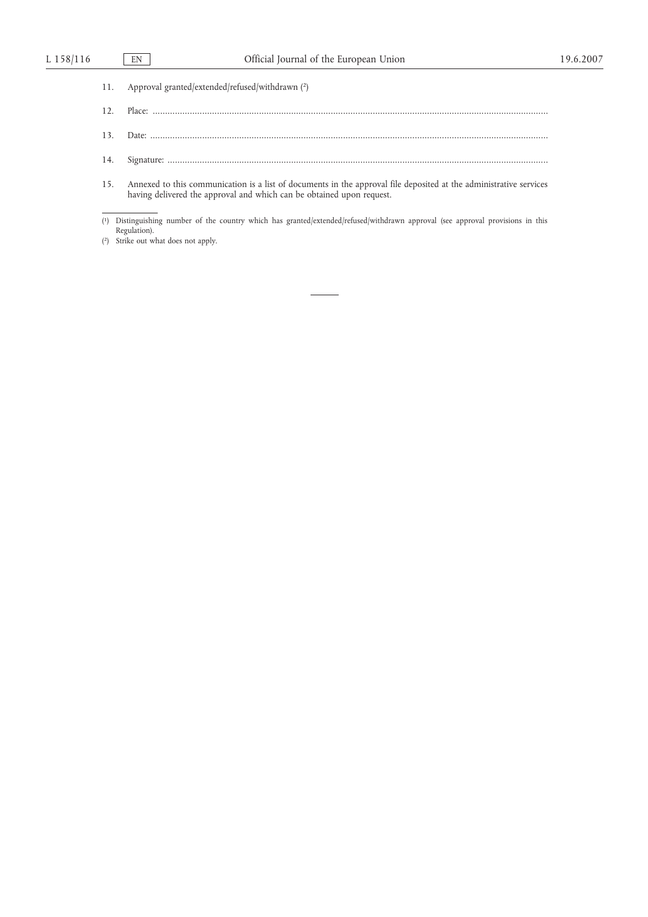| 11. Approval granted/extended/refused/withdrawn (2)                                                                                                                                             |
|-------------------------------------------------------------------------------------------------------------------------------------------------------------------------------------------------|
|                                                                                                                                                                                                 |
|                                                                                                                                                                                                 |
|                                                                                                                                                                                                 |
| 15. Annexed to this communication is a list of documents in the approval file deposited at the administrative services<br>having delivered the approval and which can be obtained upon request. |

<sup>(</sup> 1) Distinguishing number of the country which has granted/extended/refused/withdrawn approval (see approval provisions in this Regulation).

<sup>(</sup> 2) Strike out what does not apply.